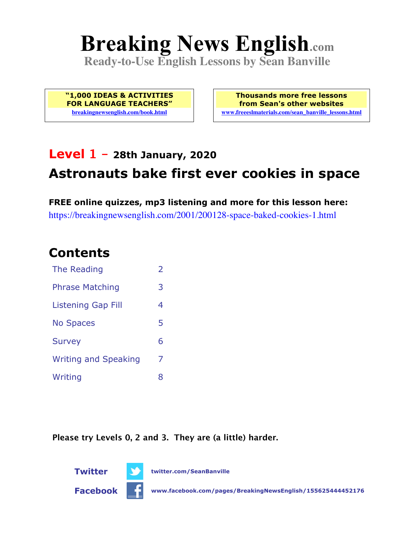# **Breaking News English.com**

**Ready-to-Use English Lessons by Sean Banville**

**"1,000 IDEAS & ACTIVITIES FOR LANGUAGE TEACHERS" breakingnewsenglish.com/book.html**

**Thousands more free lessons from Sean's other websites www.freeeslmaterials.com/sean\_banville\_lessons.html**

# **Level 1 - 28th January, 2020 Astronauts bake first ever cookies in space**

**FREE online quizzes, mp3 listening and more for this lesson here:** https://breakingnewsenglish.com/2001/200128-space-baked-cookies-1.html

#### **Contents**

| The Reading                 | $\overline{2}$ |
|-----------------------------|----------------|
| <b>Phrase Matching</b>      | 3              |
| Listening Gap Fill          | 4              |
| <b>No Spaces</b>            | 5              |
| <b>Survey</b>               | 6              |
| <b>Writing and Speaking</b> | 7              |
| Writing                     | 8              |

**Please try Levels 0, 2 and 3. They are (a little) harder.**



**Twitter twitter.com/SeanBanville**

**Facebook www.facebook.com/pages/BreakingNewsEnglish/155625444452176**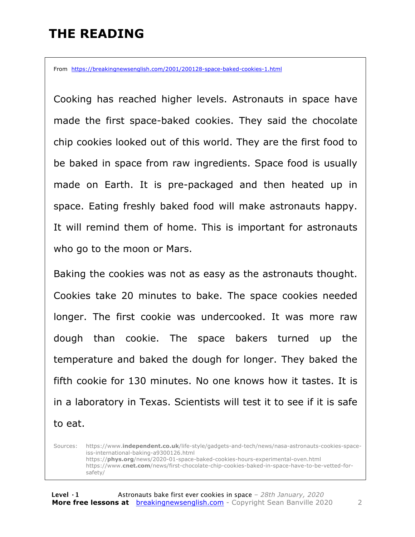### **THE READING**

From https://breakingnewsenglish.com/2001/200128-space-baked-cookies-1.html

Cooking has reached higher levels. Astronauts in space have made the first space-baked cookies. They said the chocolate chip cookies looked out of this world. They are the first food to be baked in space from raw ingredients. Space food is usually made on Earth. It is pre-packaged and then heated up in space. Eating freshly baked food will make astronauts happy. It will remind them of home. This is important for astronauts who go to the moon or Mars.

Baking the cookies was not as easy as the astronauts thought. Cookies take 20 minutes to bake. The space cookies needed longer. The first cookie was undercooked. It was more raw dough than cookie. The space bakers turned up the temperature and baked the dough for longer. They baked the fifth cookie for 130 minutes. No one knows how it tastes. It is in a laboratory in Texas. Scientists will test it to see if it is safe to eat.

Sources: https://www.**independent.co.uk**/life-style/gadgets-and-tech/news/nasa-astronauts-cookies-spaceiss-international-baking-a9300126.html https://**phys.org**/news/2020-01-space-baked-cookies-hours-experimental-oven.html https://www.**cnet.com**/news/first-chocolate-chip-cookies-baked-in-space-have-to-be-vetted-forsafety/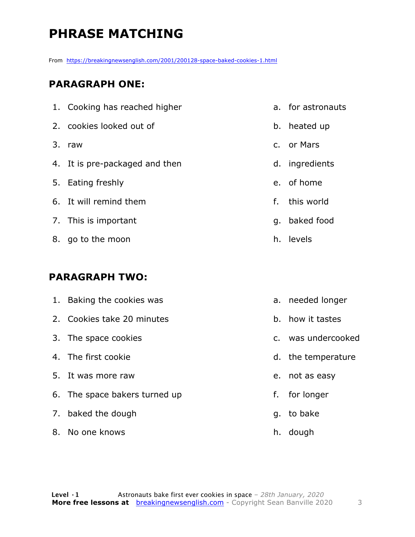# **PHRASE MATCHING**

From https://breakingnewsenglish.com/2001/200128-space-baked-cookies-1.html

#### **PARAGRAPH ONE:**

| 1. Cooking has reached higher  |    | a. for astronauts |
|--------------------------------|----|-------------------|
| 2. cookies looked out of       |    | b. heated up      |
| 3. raw                         |    | c. or Mars        |
| 4. It is pre-packaged and then |    | d. ingredients    |
| 5. Eating freshly              |    | e. of home        |
| 6. It will remind them         | f. | this world        |
| 7. This is important           | q. | baked food        |
| 8. go to the moon              |    | h. levels         |
|                                |    |                   |

#### **PARAGRAPH TWO:**

| 1. | Baking the cookies was        |    | a. needed longer   |
|----|-------------------------------|----|--------------------|
|    | 2. Cookies take 20 minutes    |    | b. how it tastes   |
|    | 3. The space cookies          |    | c. was undercooked |
|    | 4. The first cookie           |    | d. the temperature |
|    | 5. It was more raw            |    | e. not as easy     |
|    | 6. The space bakers turned up | f. | for longer         |
|    | 7. baked the dough            |    | q. to bake         |
|    | 8. No one knows               |    | h. dough           |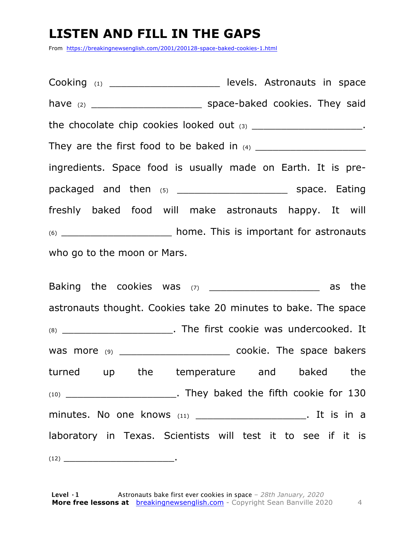### **LISTEN AND FILL IN THE GAPS**

From https://breakingnewsenglish.com/2001/200128-space-baked-cookies-1.html

Cooking (1) \_\_\_\_\_\_\_\_\_\_\_\_\_\_\_\_\_\_\_\_\_\_\_\_\_ levels. Astronauts in space have (2) \_\_\_\_\_\_\_\_\_\_\_\_\_\_\_\_\_\_\_ space-baked cookies. They said the chocolate chip cookies looked out (3) \_\_\_\_\_\_\_\_\_\_\_\_\_\_\_\_\_\_\_\_\_\_\_. They are the first food to be baked in (4) \_\_\_\_\_\_\_\_\_\_\_\_\_\_\_\_\_\_\_ ingredients. Space food is usually made on Earth. It is prepackaged and then (5) \_\_\_\_\_\_\_\_\_\_\_\_\_\_\_\_\_\_\_\_\_\_\_\_\_ space. Eating freshly baked food will make astronauts happy. It will (6) \_\_\_\_\_\_\_\_\_\_\_\_\_\_\_\_\_\_\_ home. This is important for astronauts who go to the moon or Mars.

Baking the cookies was (7) \_\_\_\_\_\_\_\_\_\_\_\_\_\_\_\_\_\_\_ as the astronauts thought. Cookies take 20 minutes to bake. The space (8) \_\_\_\_\_\_\_\_\_\_\_\_\_\_\_\_\_\_\_. The first cookie was undercooked. It was more (9) \_\_\_\_\_\_\_\_\_\_\_\_\_\_\_\_\_\_\_\_\_\_\_\_\_\_\_\_\_\_ cookie. The space bakers turned up the temperature and baked the (10) \_\_\_\_\_\_\_\_\_\_\_\_\_\_\_\_\_\_\_. They baked the fifth cookie for 130 minutes. No one knows (11) \_\_\_\_\_\_\_\_\_\_\_\_\_\_\_\_\_\_\_\_\_\_\_. It is in a laboratory in Texas. Scientists will test it to see if it is (12) \_\_\_\_\_\_\_\_\_\_\_\_\_\_\_\_\_\_\_.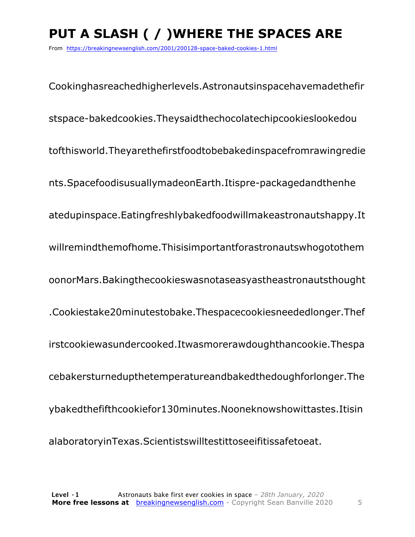# **PUT A SLASH ( / )WHERE THE SPACES ARE**

From https://breakingnewsenglish.com/2001/200128-space-baked-cookies-1.html

Cookinghasreachedhigherlevels.Astronautsinspacehavemadethefir stspace-bakedcookies.Theysaidthechocolatechipcookieslookedou tofthisworld.Theyarethefirstfoodtobebakedinspacefromrawingredie nts.SpacefoodisusuallymadeonEarth.Itispre-packagedandthenhe atedupinspace.Eatingfreshlybakedfoodwillmakeastronautshappy.It willremindthemofhome.Thisisimportantforastronautswhogotothem oonorMars.Bakingthecookieswasnotaseasyastheastronautsthought .Cookiestake20minutestobake.Thespacecookiesneededlonger.Thef irstcookiewasundercooked.Itwasmorerawdoughthancookie.Thespa cebakersturnedupthetemperatureandbakedthedoughforlonger.The ybakedthefifthcookiefor130minutes.Nooneknowshowittastes.Itisin alaboratoryinTexas.Scientistswilltestittoseeifitissafetoeat.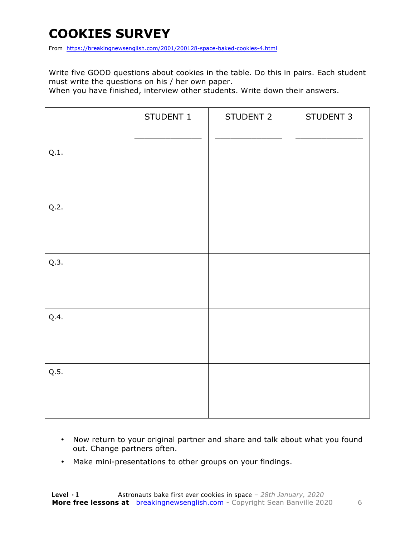## **COOKIES SURVEY**

From https://breakingnewsenglish.com/2001/200128-space-baked-cookies-4.html

Write five GOOD questions about cookies in the table. Do this in pairs. Each student must write the questions on his / her own paper.

When you have finished, interview other students. Write down their answers.

|      | STUDENT 1 | STUDENT 2 | STUDENT 3 |
|------|-----------|-----------|-----------|
| Q.1. |           |           |           |
| Q.2. |           |           |           |
| Q.3. |           |           |           |
| Q.4. |           |           |           |
| Q.5. |           |           |           |

- Now return to your original partner and share and talk about what you found out. Change partners often.
- Make mini-presentations to other groups on your findings.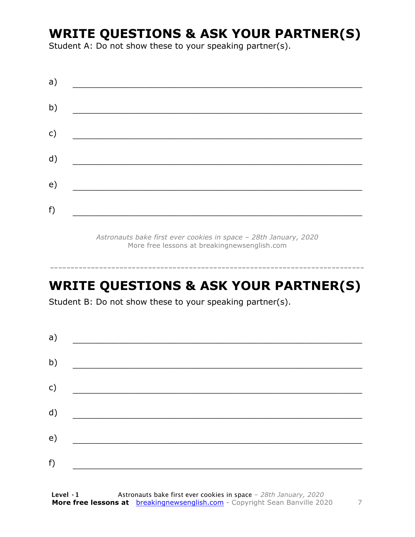#### **WRITE QUESTIONS & ASK YOUR PARTNER(S)**

Student A: Do not show these to your speaking partner(s).

*Astronauts bake first ever cookies in space – 28th January, 2020* More free lessons at breakingnewsenglish.com

#### **WRITE QUESTIONS & ASK YOUR PARTNER(S)**

-----------------------------------------------------------------------------

Student B: Do not show these to your speaking partner(s).

| a) |  |  |
|----|--|--|
| b) |  |  |
| c) |  |  |
| d) |  |  |
| e) |  |  |
| f) |  |  |
|    |  |  |